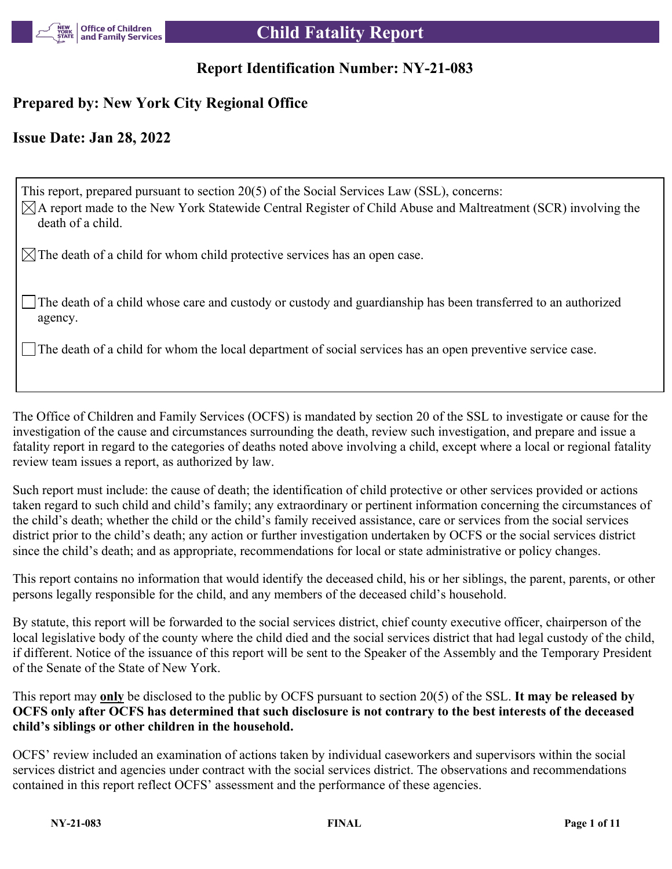

## **Report Identification Number: NY-21-083**

## **Prepared by: New York City Regional Office**

## **Issue Date: Jan 28, 2022**

This report, prepared pursuant to section 20(5) of the Social Services Law (SSL), concerns:  $\boxtimes$ A report made to the New York Statewide Central Register of Child Abuse and Maltreatment (SCR) involving the death of a child.

 $\boxtimes$  The death of a child for whom child protective services has an open case.

The death of a child whose care and custody or custody and guardianship has been transferred to an authorized agency.

The death of a child for whom the local department of social services has an open preventive service case.

The Office of Children and Family Services (OCFS) is mandated by section 20 of the SSL to investigate or cause for the investigation of the cause and circumstances surrounding the death, review such investigation, and prepare and issue a fatality report in regard to the categories of deaths noted above involving a child, except where a local or regional fatality review team issues a report, as authorized by law.

Such report must include: the cause of death; the identification of child protective or other services provided or actions taken regard to such child and child's family; any extraordinary or pertinent information concerning the circumstances of the child's death; whether the child or the child's family received assistance, care or services from the social services district prior to the child's death; any action or further investigation undertaken by OCFS or the social services district since the child's death; and as appropriate, recommendations for local or state administrative or policy changes.

This report contains no information that would identify the deceased child, his or her siblings, the parent, parents, or other persons legally responsible for the child, and any members of the deceased child's household.

By statute, this report will be forwarded to the social services district, chief county executive officer, chairperson of the local legislative body of the county where the child died and the social services district that had legal custody of the child, if different. Notice of the issuance of this report will be sent to the Speaker of the Assembly and the Temporary President of the Senate of the State of New York.

This report may **only** be disclosed to the public by OCFS pursuant to section 20(5) of the SSL. **It may be released by OCFS only after OCFS has determined that such disclosure is not contrary to the best interests of the deceased child's siblings or other children in the household.**

OCFS' review included an examination of actions taken by individual caseworkers and supervisors within the social services district and agencies under contract with the social services district. The observations and recommendations contained in this report reflect OCFS' assessment and the performance of these agencies.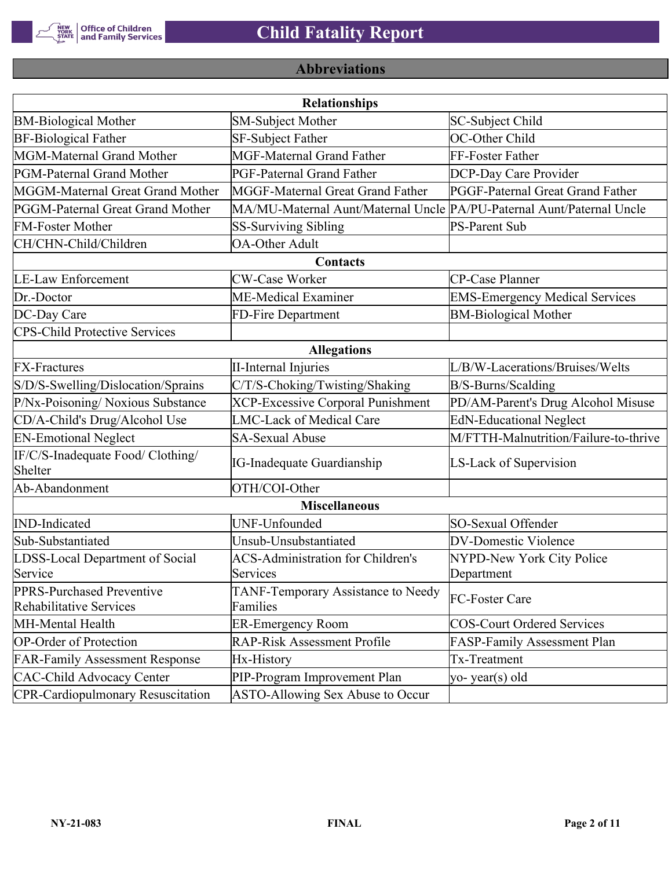

## **Abbreviations**

| <b>Relationships</b>                                 |                                                                       |                                       |  |  |  |
|------------------------------------------------------|-----------------------------------------------------------------------|---------------------------------------|--|--|--|
| <b>BM-Biological Mother</b>                          | SM-Subject Mother                                                     | SC-Subject Child                      |  |  |  |
| <b>BF-Biological Father</b>                          | <b>SF-Subject Father</b>                                              | OC-Other Child                        |  |  |  |
| MGM-Maternal Grand Mother                            | <b>MGF-Maternal Grand Father</b>                                      | FF-Foster Father                      |  |  |  |
| PGM-Paternal Grand Mother                            | PGF-Paternal Grand Father                                             | DCP-Day Care Provider                 |  |  |  |
| MGGM-Maternal Great Grand Mother                     | MGGF-Maternal Great Grand Father                                      | PGGF-Paternal Great Grand Father      |  |  |  |
| PGGM-Paternal Great Grand Mother                     | MA/MU-Maternal Aunt/Maternal Uncle PA/PU-Paternal Aunt/Paternal Uncle |                                       |  |  |  |
| <b>FM-Foster Mother</b>                              | <b>SS-Surviving Sibling</b>                                           | <b>PS-Parent Sub</b>                  |  |  |  |
| CH/CHN-Child/Children                                | <b>OA-Other Adult</b>                                                 |                                       |  |  |  |
|                                                      | Contacts                                                              |                                       |  |  |  |
| <b>LE-Law Enforcement</b>                            | <b>CW-Case Worker</b>                                                 | CP-Case Planner                       |  |  |  |
| Dr.-Doctor                                           | ME-Medical Examiner                                                   | <b>EMS-Emergency Medical Services</b> |  |  |  |
| DC-Day Care                                          | FD-Fire Department                                                    | <b>BM-Biological Mother</b>           |  |  |  |
| <b>CPS-Child Protective Services</b>                 |                                                                       |                                       |  |  |  |
|                                                      | <b>Allegations</b>                                                    |                                       |  |  |  |
| <b>FX-Fractures</b>                                  | <b>II-Internal Injuries</b>                                           | L/B/W-Lacerations/Bruises/Welts       |  |  |  |
| S/D/S-Swelling/Dislocation/Sprains                   | C/T/S-Choking/Twisting/Shaking                                        | B/S-Burns/Scalding                    |  |  |  |
| P/Nx-Poisoning/ Noxious Substance                    | <b>XCP-Excessive Corporal Punishment</b>                              | PD/AM-Parent's Drug Alcohol Misuse    |  |  |  |
| CD/A-Child's Drug/Alcohol Use                        | <b>LMC-Lack of Medical Care</b>                                       | <b>EdN-Educational Neglect</b>        |  |  |  |
| <b>EN-Emotional Neglect</b>                          | <b>SA-Sexual Abuse</b>                                                | M/FTTH-Malnutrition/Failure-to-thrive |  |  |  |
| IF/C/S-Inadequate Food/ Clothing/<br>Shelter         | <b>IG-Inadequate Guardianship</b>                                     | LS-Lack of Supervision                |  |  |  |
| Ab-Abandonment                                       | OTH/COI-Other                                                         |                                       |  |  |  |
|                                                      | <b>Miscellaneous</b>                                                  |                                       |  |  |  |
| <b>IND-Indicated</b>                                 | UNF-Unfounded                                                         | SO-Sexual Offender                    |  |  |  |
| Sub-Substantiated                                    | Unsub-Unsubstantiated                                                 | <b>DV-Domestic Violence</b>           |  |  |  |
| LDSS-Local Department of Social                      | <b>ACS-Administration for Children's</b>                              | NYPD-New York City Police             |  |  |  |
| Service                                              | Services                                                              | Department                            |  |  |  |
| PPRS-Purchased Preventive<br>Rehabilitative Services | TANF-Temporary Assistance to Needy<br>Families                        | FC-Foster Care                        |  |  |  |
| MH-Mental Health                                     | <b>ER-Emergency Room</b>                                              | <b>COS-Court Ordered Services</b>     |  |  |  |
| <b>OP-Order of Protection</b>                        | <b>RAP-Risk Assessment Profile</b>                                    | FASP-Family Assessment Plan           |  |  |  |
| <b>FAR-Family Assessment Response</b>                | Hx-History                                                            | Tx-Treatment                          |  |  |  |
| <b>CAC-Child Advocacy Center</b>                     | PIP-Program Improvement Plan                                          | yo-year(s) old                        |  |  |  |
| <b>CPR-Cardiopulmonary Resuscitation</b>             | ASTO-Allowing Sex Abuse to Occur                                      |                                       |  |  |  |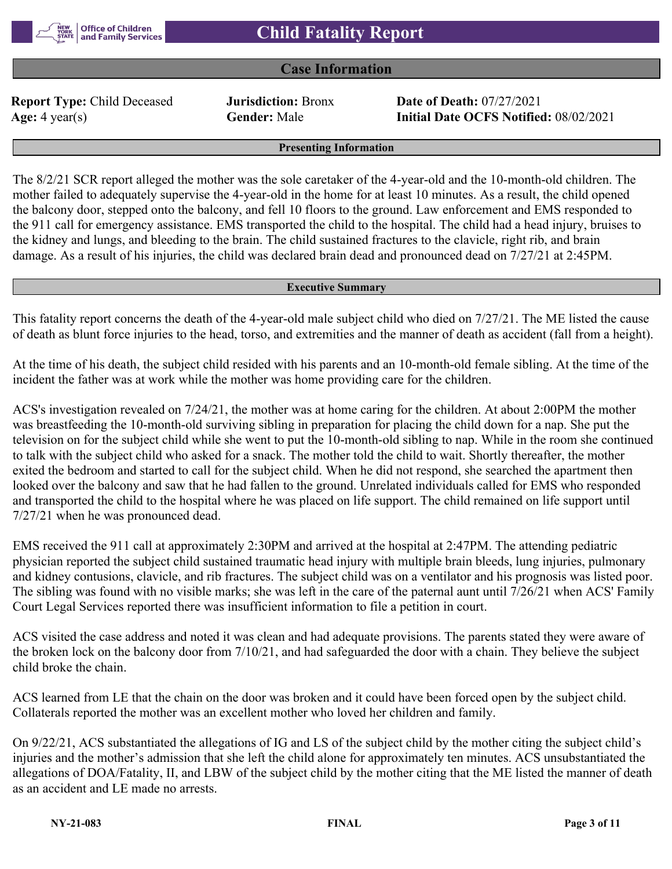#### **Case Information**

**Report Type:** Child Deceased **Jurisdiction:** Bronx **Date of Death:** 07/27/2021

**Age:** 4 year(s) **Gender:** Male **Initial Date OCFS Notified:** 08/02/2021

**Presenting Information**

The 8/2/21 SCR report alleged the mother was the sole caretaker of the 4-year-old and the 10-month-old children. The mother failed to adequately supervise the 4-year-old in the home for at least 10 minutes. As a result, the child opened the balcony door, stepped onto the balcony, and fell 10 floors to the ground. Law enforcement and EMS responded to the 911 call for emergency assistance. EMS transported the child to the hospital. The child had a head injury, bruises to the kidney and lungs, and bleeding to the brain. The child sustained fractures to the clavicle, right rib, and brain damage. As a result of his injuries, the child was declared brain dead and pronounced dead on 7/27/21 at 2:45PM.

#### **Executive Summary**

This fatality report concerns the death of the 4-year-old male subject child who died on 7/27/21. The ME listed the cause of death as blunt force injuries to the head, torso, and extremities and the manner of death as accident (fall from a height).

At the time of his death, the subject child resided with his parents and an 10-month-old female sibling. At the time of the incident the father was at work while the mother was home providing care for the children.

ACS's investigation revealed on 7/24/21, the mother was at home caring for the children. At about 2:00PM the mother was breastfeeding the 10-month-old surviving sibling in preparation for placing the child down for a nap. She put the television on for the subject child while she went to put the 10-month-old sibling to nap. While in the room she continued to talk with the subject child who asked for a snack. The mother told the child to wait. Shortly thereafter, the mother exited the bedroom and started to call for the subject child. When he did not respond, she searched the apartment then looked over the balcony and saw that he had fallen to the ground. Unrelated individuals called for EMS who responded and transported the child to the hospital where he was placed on life support. The child remained on life support until 7/27/21 when he was pronounced dead.

EMS received the 911 call at approximately 2:30PM and arrived at the hospital at 2:47PM. The attending pediatric physician reported the subject child sustained traumatic head injury with multiple brain bleeds, lung injuries, pulmonary and kidney contusions, clavicle, and rib fractures. The subject child was on a ventilator and his prognosis was listed poor. The sibling was found with no visible marks; she was left in the care of the paternal aunt until 7/26/21 when ACS' Family Court Legal Services reported there was insufficient information to file a petition in court.

ACS visited the case address and noted it was clean and had adequate provisions. The parents stated they were aware of the broken lock on the balcony door from 7/10/21, and had safeguarded the door with a chain. They believe the subject child broke the chain.

ACS learned from LE that the chain on the door was broken and it could have been forced open by the subject child. Collaterals reported the mother was an excellent mother who loved her children and family.

On 9/22/21, ACS substantiated the allegations of IG and LS of the subject child by the mother citing the subject child's injuries and the mother's admission that she left the child alone for approximately ten minutes. ACS unsubstantiated the allegations of DOA/Fatality, II, and LBW of the subject child by the mother citing that the ME listed the manner of death as an accident and LE made no arrests.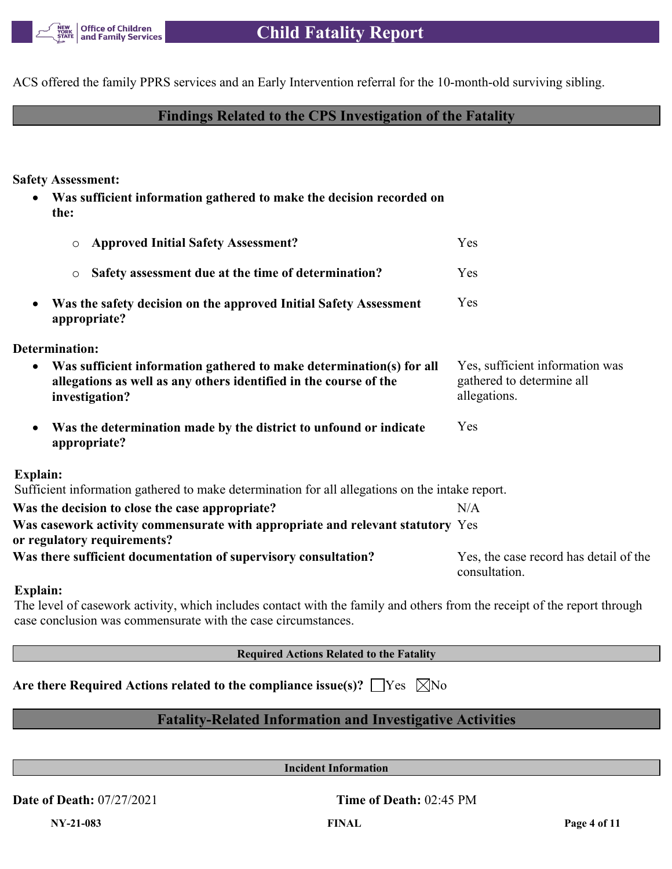

ACS offered the family PPRS services and an Early Intervention referral for the 10-month-old surviving sibling.

### **Findings Related to the CPS Investigation of the Fatality**

**Safety Assessment:**

 **Was sufficient information gathered to make the decision recorded on the:**

| <b>Approved Initial Safety Assessment?</b><br>$\circ$                                                                                                                    | Yes                                                                          |
|--------------------------------------------------------------------------------------------------------------------------------------------------------------------------|------------------------------------------------------------------------------|
| Safety assessment due at the time of determination?<br>$\circ$                                                                                                           | Yes                                                                          |
| Was the safety decision on the approved Initial Safety Assessment<br>$\bullet$<br>appropriate?                                                                           | <b>Yes</b>                                                                   |
| Determination:                                                                                                                                                           |                                                                              |
| Was sufficient information gathered to make determination(s) for all<br>$\bullet$<br>allegations as well as any others identified in the course of the<br>investigation? | Yes, sufficient information was<br>gathered to determine all<br>allegations. |
| Was the determination made by the district to unfound or indicate<br>$\bullet$<br>appropriate?                                                                           | Yes                                                                          |
| Explain:                                                                                                                                                                 |                                                                              |
| Sufficient information gathered to make determination for all allegations on the intake report.                                                                          |                                                                              |
| Was the decision to close the case appropriate?                                                                                                                          | N/A                                                                          |
| Was casework activity commensurate with appropriate and relevant statutory Yes<br>or regulatory requirements?                                                            |                                                                              |
| Was there sufficient documentation of supervisory consultation?                                                                                                          | Yes, the case record has detail of the<br>consultation.                      |
| Explain:                                                                                                                                                                 |                                                                              |

#### The level of casework activity, which includes contact with the family and others from the receipt of the report through case conclusion was commensurate with the case circumstances.

**Required Actions Related to the Fatality**

| Are there Required Actions related to the compliance issue(s)? $\Box$ Yes $\Box$ No |  |  |  |  |  |
|-------------------------------------------------------------------------------------|--|--|--|--|--|
|-------------------------------------------------------------------------------------|--|--|--|--|--|

## **Fatality-Related Information and Investigative Activities**

**Incident Information**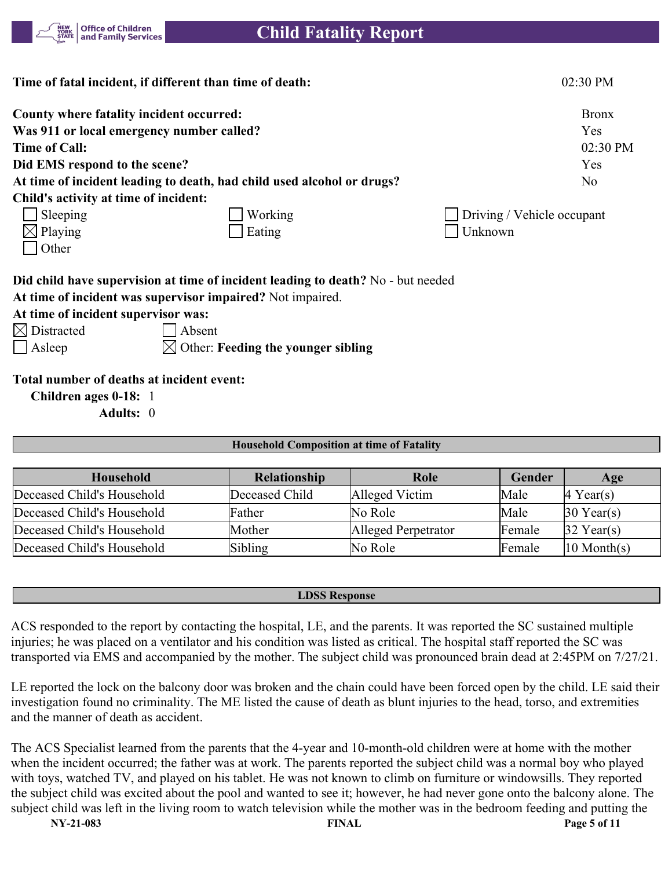

|                                       | Time of fatal incident, if different than time of death:                         | 02:30 PM                   |
|---------------------------------------|----------------------------------------------------------------------------------|----------------------------|
|                                       | County where fatality incident occurred:                                         | <b>Bronx</b>               |
|                                       | Was 911 or local emergency number called?                                        | <b>Yes</b>                 |
| <b>Time of Call:</b>                  |                                                                                  | 02:30 PM                   |
| Did EMS respond to the scene?         |                                                                                  | Yes                        |
|                                       | At time of incident leading to death, had child used alcohol or drugs?           | No.                        |
| Child's activity at time of incident: |                                                                                  |                            |
| Sleeping                              | Working                                                                          | Driving / Vehicle occupant |
| $\boxtimes$ Playing                   | Eating                                                                           | Unknown                    |
| Other                                 |                                                                                  |                            |
|                                       | Did child have supervision at time of incident leading to death? No - but needed |                            |
|                                       | At time of incident was supervisor impaired? Not impaired.                       |                            |
| At time of incident supervisor was:   |                                                                                  |                            |
| $\boxtimes$ Distracted                | Absent                                                                           |                            |
| $ $ Asleep                            | $\bowtie$ Other: Feeding the younger sibling                                     |                            |

**Total number of deaths at incident event:**

**Children ages 0-18:** 1

**Adults:** 0

#### **Household Composition at time of Fatality**

| Household                  | Relationship   | Role                | Gender | Age                             |
|----------------------------|----------------|---------------------|--------|---------------------------------|
| Deceased Child's Household | Deceased Child | Alleged Victim      | Male   | $\vert 4 \text{ Year}(s) \vert$ |
| Deceased Child's Household | Father         | No Role             | Male   | $30$ Year(s)                    |
| Deceased Child's Household | Mother         | Alleged Perpetrator | Female | $32$ Year(s)                    |
| Deceased Child's Household | Sibling        | No Role             | Female | $ 10 \text{ Month}(s) $         |

#### **LDSS Response**

ACS responded to the report by contacting the hospital, LE, and the parents. It was reported the SC sustained multiple injuries; he was placed on a ventilator and his condition was listed as critical. The hospital staff reported the SC was transported via EMS and accompanied by the mother. The subject child was pronounced brain dead at 2:45PM on 7/27/21.

LE reported the lock on the balcony door was broken and the chain could have been forced open by the child. LE said their investigation found no criminality. The ME listed the cause of death as blunt injuries to the head, torso, and extremities and the manner of death as accident.

The ACS Specialist learned from the parents that the 4-year and 10-month-old children were at home with the mother when the incident occurred; the father was at work. The parents reported the subject child was a normal boy who played with toys, watched TV, and played on his tablet. He was not known to climb on furniture or windowsills. They reported the subject child was excited about the pool and wanted to see it; however, he had never gone onto the balcony alone. The subject child was left in the living room to watch television while the mother was in the bedroom feeding and putting the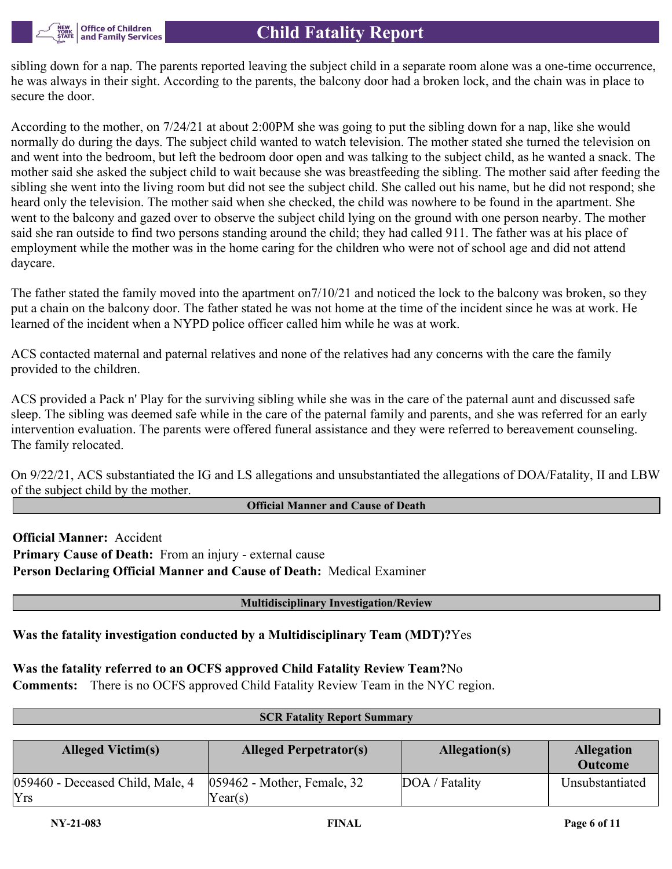

sibling down for a nap. The parents reported leaving the subject child in a separate room alone was a one-time occurrence, he was always in their sight. According to the parents, the balcony door had a broken lock, and the chain was in place to secure the door.

According to the mother, on 7/24/21 at about 2:00PM she was going to put the sibling down for a nap, like she would normally do during the days. The subject child wanted to watch television. The mother stated she turned the television on and went into the bedroom, but left the bedroom door open and was talking to the subject child, as he wanted a snack. The mother said she asked the subject child to wait because she was breastfeeding the sibling. The mother said after feeding the sibling she went into the living room but did not see the subject child. She called out his name, but he did not respond; she heard only the television. The mother said when she checked, the child was nowhere to be found in the apartment. She went to the balcony and gazed over to observe the subject child lying on the ground with one person nearby. The mother said she ran outside to find two persons standing around the child; they had called 911. The father was at his place of employment while the mother was in the home caring for the children who were not of school age and did not attend daycare.

The father stated the family moved into the apartment on7/10/21 and noticed the lock to the balcony was broken, so they put a chain on the balcony door. The father stated he was not home at the time of the incident since he was at work. He learned of the incident when a NYPD police officer called him while he was at work.

ACS contacted maternal and paternal relatives and none of the relatives had any concerns with the care the family provided to the children.

ACS provided a Pack n' Play for the surviving sibling while she was in the care of the paternal aunt and discussed safe sleep. The sibling was deemed safe while in the care of the paternal family and parents, and she was referred for an early intervention evaluation. The parents were offered funeral assistance and they were referred to bereavement counseling. The family relocated.

On 9/22/21, ACS substantiated the IG and LS allegations and unsubstantiated the allegations of DOA/Fatality, II and LBW of the subject child by the mother.

#### **Official Manner and Cause of Death**

**Official Manner:** Accident **Primary Cause of Death:** From an injury - external cause **Person Declaring Official Manner and Cause of Death:** Medical Examiner

#### **Multidisciplinary Investigation/Review**

**Was the fatality investigation conducted by a Multidisciplinary Team (MDT)?**Yes

### **Was the fatality referred to an OCFS approved Child Fatality Review Team?**No

**Comments:** There is no OCFS approved Child Fatality Review Team in the NYC region.

| <b>SCR Fatality Report Summary</b> |                                |                |                   |  |
|------------------------------------|--------------------------------|----------------|-------------------|--|
|                                    |                                |                |                   |  |
| <b>Alleged Victim(s)</b>           | <b>Alleged Perpetrator(s)</b>  | Allegation(s)  | <b>Allegation</b> |  |
|                                    |                                |                | <b>Outcome</b>    |  |
| 059460 - Deceased Child, Male, 4   | $ 059462$ - Mother, Female, 32 | DOA / Fatality | Unsubstantiated   |  |
| Yrs                                | Year(s)                        |                |                   |  |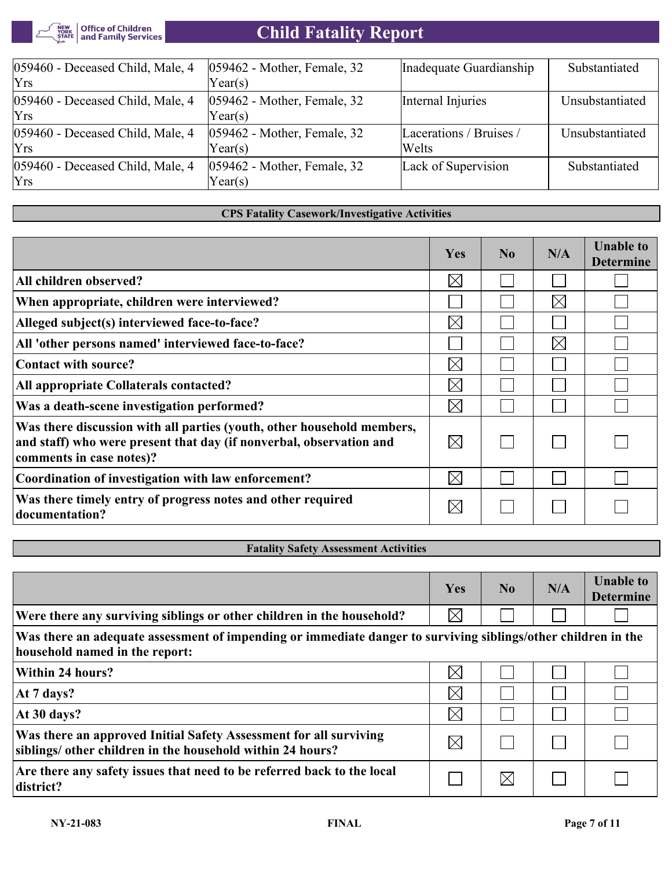

| 059460 - Deceased Child, Male, 4<br><b>Yrs</b> | $ 059462$ - Mother, Female, 32<br>Year(s) | Inadequate Guardianship           | Substantiated   |
|------------------------------------------------|-------------------------------------------|-----------------------------------|-----------------|
| 059460 - Deceased Child, Male, 4<br><b>Yrs</b> | $ 059462$ - Mother, Female, 32<br>Year(s) | Internal Injuries                 | Unsubstantiated |
| 059460 - Deceased Child, Male, 4<br>Yrs        | $ 059462$ - Mother, Female, 32<br>Year(s) | Lacerations / Bruises /<br> Welts | Unsubstantiated |
| 059460 - Deceased Child, Male, 4<br><b>Yrs</b> | $ 059462$ - Mother, Female, 32<br>Year(s) | Lack of Supervision               | Substantiated   |

#### **CPS Fatality Casework/Investigative Activities**

|                                                                                                                                                                           | Yes         | No | N/A         | <b>Unable to</b><br><b>Determine</b> |
|---------------------------------------------------------------------------------------------------------------------------------------------------------------------------|-------------|----|-------------|--------------------------------------|
| All children observed?                                                                                                                                                    | $\boxtimes$ |    |             |                                      |
| When appropriate, children were interviewed?                                                                                                                              |             |    | $\boxtimes$ |                                      |
| Alleged subject(s) interviewed face-to-face?                                                                                                                              | $\bowtie$   |    |             |                                      |
| All 'other persons named' interviewed face-to-face?                                                                                                                       |             |    | $\boxtimes$ |                                      |
| Contact with source?                                                                                                                                                      | $\boxtimes$ |    |             |                                      |
| All appropriate Collaterals contacted?                                                                                                                                    | $\bowtie$   |    |             |                                      |
| Was a death-scene investigation performed?                                                                                                                                | $\boxtimes$ |    |             |                                      |
| Was there discussion with all parties (youth, other household members,<br>and staff) who were present that day (if nonverbal, observation and<br>comments in case notes)? | $\boxtimes$ |    |             |                                      |
| Coordination of investigation with law enforcement?                                                                                                                       | $\boxtimes$ |    |             |                                      |
| Was there timely entry of progress notes and other required<br>documentation?                                                                                             | $\boxtimes$ |    |             |                                      |

#### **Fatality Safety Assessment Activities**

|                                                                                                                                                 | Yes         | N <sub>0</sub> | N/A | <b>Unable to</b><br><b>Determine</b> |
|-------------------------------------------------------------------------------------------------------------------------------------------------|-------------|----------------|-----|--------------------------------------|
| Were there any surviving siblings or other children in the household?                                                                           | $\times$    |                |     |                                      |
| Was there an adequate assessment of impending or immediate danger to surviving siblings/other children in the<br>household named in the report: |             |                |     |                                      |
| Within 24 hours?                                                                                                                                | $\boxtimes$ |                |     |                                      |
| At 7 days?                                                                                                                                      | $\boxtimes$ |                |     |                                      |
| At 30 days?                                                                                                                                     | $\times$    |                |     |                                      |
| Was there an approved Initial Safety Assessment for all surviving<br>siblings/ other children in the household within 24 hours?                 | $\boxtimes$ |                |     |                                      |
| Are there any safety issues that need to be referred back to the local<br>district?                                                             |             | $\times$       |     |                                      |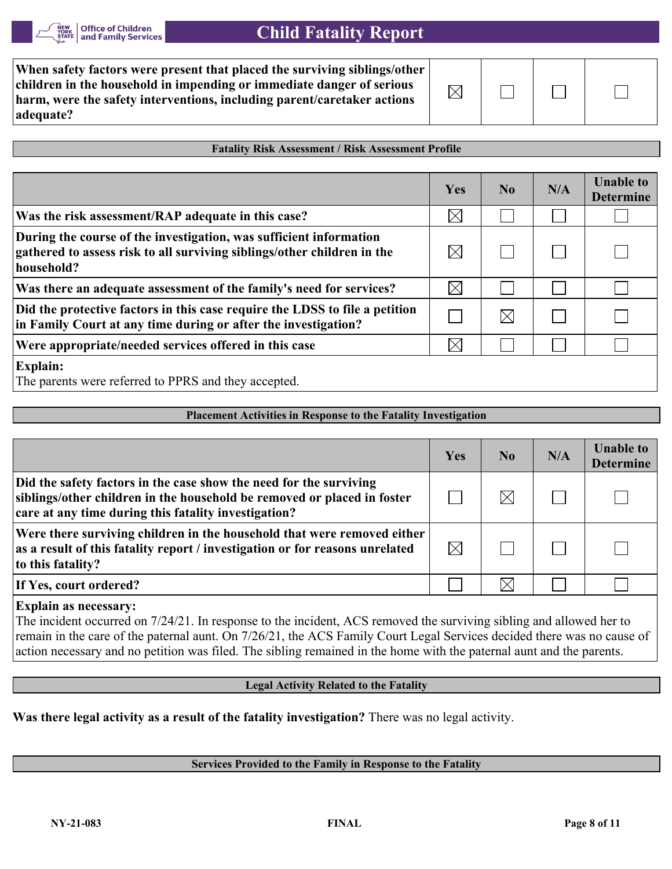

| When safety factors were present that placed the surviving siblings/other<br>children in the household in impending or immediate danger of serious<br>harm, were the safety interventions, including parent/caretaker actions<br> adequate? | $\boxtimes$ |  |  |  |  |
|---------------------------------------------------------------------------------------------------------------------------------------------------------------------------------------------------------------------------------------------|-------------|--|--|--|--|
|---------------------------------------------------------------------------------------------------------------------------------------------------------------------------------------------------------------------------------------------|-------------|--|--|--|--|

#### **Fatality Risk Assessment / Risk Assessment Profile**

|                                                                                                                                                             | Yes         | No.         | N/A | <b>Unable to</b><br><b>Determine</b> |
|-------------------------------------------------------------------------------------------------------------------------------------------------------------|-------------|-------------|-----|--------------------------------------|
| Was the risk assessment/RAP adequate in this case?                                                                                                          | $\boxtimes$ |             |     |                                      |
| During the course of the investigation, was sufficient information<br>gathered to assess risk to all surviving siblings/other children in the<br>household? | $\boxtimes$ |             |     |                                      |
| Was there an adequate assessment of the family's need for services?                                                                                         | $\boxtimes$ |             |     |                                      |
| Did the protective factors in this case require the LDSS to file a petition<br>in Family Court at any time during or after the investigation?               |             | $\boxtimes$ |     |                                      |
| Were appropriate/needed services offered in this case                                                                                                       | $\times$    |             |     |                                      |
| <b>Explain:</b><br>The parents were referred to PPRS and they accepted.                                                                                     |             |             |     |                                      |

#### **Placement Activities in Response to the Fatality Investigation**

|                                                                                                                                                                                                       | Yes         | N <sub>0</sub> | N/A | <b>Unable to</b><br><b>Determine</b> |
|-------------------------------------------------------------------------------------------------------------------------------------------------------------------------------------------------------|-------------|----------------|-----|--------------------------------------|
| Did the safety factors in the case show the need for the surviving<br>siblings/other children in the household be removed or placed in foster<br>care at any time during this fatality investigation? |             | $\boxtimes$    |     |                                      |
| Were there surviving children in the household that were removed either<br>as a result of this fatality report / investigation or for reasons unrelated<br>to this fatality?                          | $\boxtimes$ |                |     |                                      |
| If Yes, court ordered?                                                                                                                                                                                |             | $\times$       |     |                                      |
|                                                                                                                                                                                                       |             |                |     |                                      |

#### **Explain as necessary:**

The incident occurred on 7/24/21. In response to the incident, ACS removed the surviving sibling and allowed her to remain in the care of the paternal aunt. On 7/26/21, the ACS Family Court Legal Services decided there was no cause of action necessary and no petition was filed. The sibling remained in the home with the paternal aunt and the parents.

#### **Legal Activity Related to the Fatality**

**Was there legal activity as a result of the fatality investigation?** There was no legal activity.

#### **Services Provided to the Family in Response to the Fatality**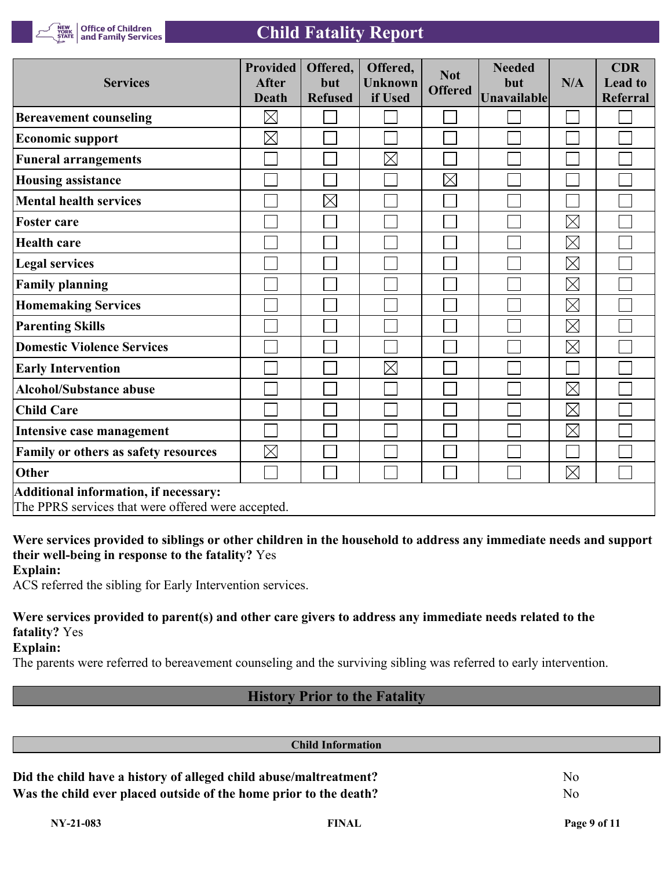

**Office of Children<br>and Family Services** 

| <b>Services</b>                                                                             | <b>Provided</b><br><b>After</b><br><b>Death</b> | Offered,<br>but<br><b>Refused</b> | Offered,<br><b>Unknown</b><br>if Used | <b>Not</b><br><b>Offered</b> | <b>Needed</b><br>but<br>Unavailable | N/A         | <b>CDR</b><br><b>Lead to</b><br><b>Referral</b> |
|---------------------------------------------------------------------------------------------|-------------------------------------------------|-----------------------------------|---------------------------------------|------------------------------|-------------------------------------|-------------|-------------------------------------------------|
| <b>Bereavement counseling</b>                                                               | $\boxtimes$                                     |                                   |                                       |                              |                                     |             |                                                 |
| <b>Economic support</b>                                                                     | $\boxtimes$                                     |                                   |                                       |                              |                                     |             |                                                 |
| <b>Funeral arrangements</b>                                                                 |                                                 |                                   | $\boxtimes$                           |                              |                                     |             |                                                 |
| <b>Housing assistance</b>                                                                   |                                                 |                                   |                                       | $\boxtimes$                  |                                     |             |                                                 |
| <b>Mental health services</b>                                                               |                                                 | $\times$                          |                                       |                              |                                     |             |                                                 |
| <b>Foster care</b>                                                                          |                                                 |                                   |                                       |                              |                                     | $\boxtimes$ |                                                 |
| <b>Health care</b>                                                                          |                                                 |                                   |                                       |                              |                                     | $\boxtimes$ |                                                 |
| <b>Legal services</b>                                                                       |                                                 |                                   |                                       |                              |                                     | $\boxtimes$ |                                                 |
| <b>Family planning</b>                                                                      |                                                 |                                   |                                       |                              |                                     | $\boxtimes$ |                                                 |
| <b>Homemaking Services</b>                                                                  |                                                 |                                   |                                       |                              |                                     | $\boxtimes$ |                                                 |
| <b>Parenting Skills</b>                                                                     |                                                 |                                   |                                       |                              |                                     | $\boxtimes$ |                                                 |
| <b>Domestic Violence Services</b>                                                           |                                                 |                                   |                                       |                              |                                     | $\boxtimes$ |                                                 |
| <b>Early Intervention</b>                                                                   |                                                 |                                   | $\times$                              |                              |                                     |             |                                                 |
| <b>Alcohol/Substance abuse</b>                                                              |                                                 |                                   |                                       |                              |                                     | $\boxtimes$ |                                                 |
| <b>Child Care</b>                                                                           |                                                 |                                   |                                       |                              |                                     | $\boxtimes$ |                                                 |
| Intensive case management                                                                   |                                                 |                                   |                                       |                              |                                     | $\boxtimes$ |                                                 |
| Family or others as safety resources                                                        | $\boxtimes$                                     |                                   |                                       |                              |                                     |             |                                                 |
| Other                                                                                       |                                                 |                                   |                                       |                              |                                     | $\boxtimes$ |                                                 |
| Additional information, if necessary:<br>The PPRS services that were offered were accepted. |                                                 |                                   |                                       |                              |                                     |             |                                                 |

**Were services provided to siblings or other children in the household to address any immediate needs and support their well-being in response to the fatality?** Yes

**Explain:**

ACS referred the sibling for Early Intervention services.

### **Were services provided to parent(s) and other care givers to address any immediate needs related to the fatality?** Yes

**Explain:**

The parents were referred to bereavement counseling and the surviving sibling was referred to early intervention.

## **History Prior to the Fatality**

| <b>Child Information</b>                                          |    |
|-------------------------------------------------------------------|----|
| Did the child have a history of alleged child abuse/maltreatment? | No |
| Was the child ever placed outside of the home prior to the death? | No |
|                                                                   |    |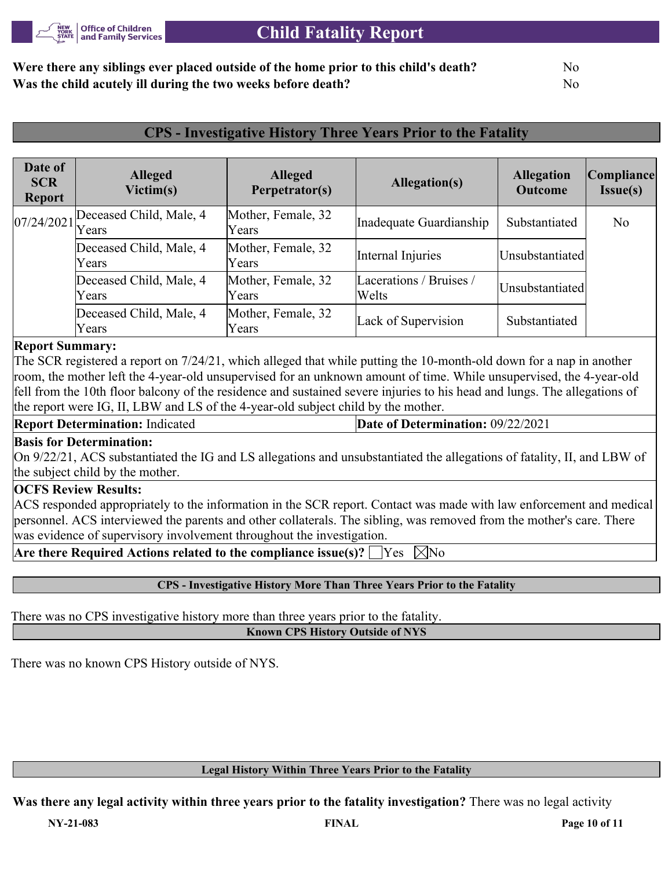

## **Were there any siblings ever placed outside of the home prior to this child's death?** No **Was the child acutely ill during the two weeks before death?** No

## **CPS - Investigative History Three Years Prior to the Fatality**

| Date of<br><b>SCR</b><br><b>Report</b> | <b>Alleged</b><br>Victim(s)      | <b>Alleged</b><br>Perpetrator(s) | Allegation(s)                    | <b>Allegation</b><br><b>Outcome</b> | Compliance <br>Issue(s) |
|----------------------------------------|----------------------------------|----------------------------------|----------------------------------|-------------------------------------|-------------------------|
| $107/24/2021$ $\text{Years}$           | Deceased Child, Male, 4          | Mother, Female, 32<br>Years      | Inadequate Guardianship          | Substantiated                       | No                      |
|                                        | Deceased Child, Male, 4<br>Years | Mother, Female, 32<br>Years      | Internal Injuries                | Unsubstantiated                     |                         |
|                                        | Deceased Child, Male, 4<br>Years | Mother, Female, 32<br>Years      | Lacerations / Bruises /<br>Welts | Unsubstantiated                     |                         |
|                                        | Deceased Child, Male, 4<br>Years | Mother, Female, 32<br>Years      | Lack of Supervision              | Substantiated                       |                         |

#### **Report Summary:**

The SCR registered a report on 7/24/21, which alleged that while putting the 10-month-old down for a nap in another room, the mother left the 4-year-old unsupervised for an unknown amount of time. While unsupervised, the 4-year-old fell from the 10th floor balcony of the residence and sustained severe injuries to his head and lungs. The allegations of the report were IG, II, LBW and LS of the 4-year-old subject child by the mother.

**Report Determination:** Indicated **Date of Determination:** 09/22/2021

#### **Basis for Determination:**

On 9/22/21, ACS substantiated the IG and LS allegations and unsubstantiated the allegations of fatality, II, and LBW of the subject child by the mother.

#### **OCFS Review Results:**

ACS responded appropriately to the information in the SCR report. Contact was made with law enforcement and medical personnel. ACS interviewed the parents and other collaterals. The sibling, was removed from the mother's care. There was evidence of supervisory involvement throughout the investigation.

**Are there Required Actions related to the compliance issue(s)?**  $\Box$  Yes  $\Box$  No

#### **CPS - Investigative History More Than Three Years Prior to the Fatality**

There was no CPS investigative history more than three years prior to the fatality.

**Known CPS History Outside of NYS**

There was no known CPS History outside of NYS.

#### **Legal History Within Three Years Prior to the Fatality**

**Was there any legal activity within three years prior to the fatality investigation?** There was no legal activity